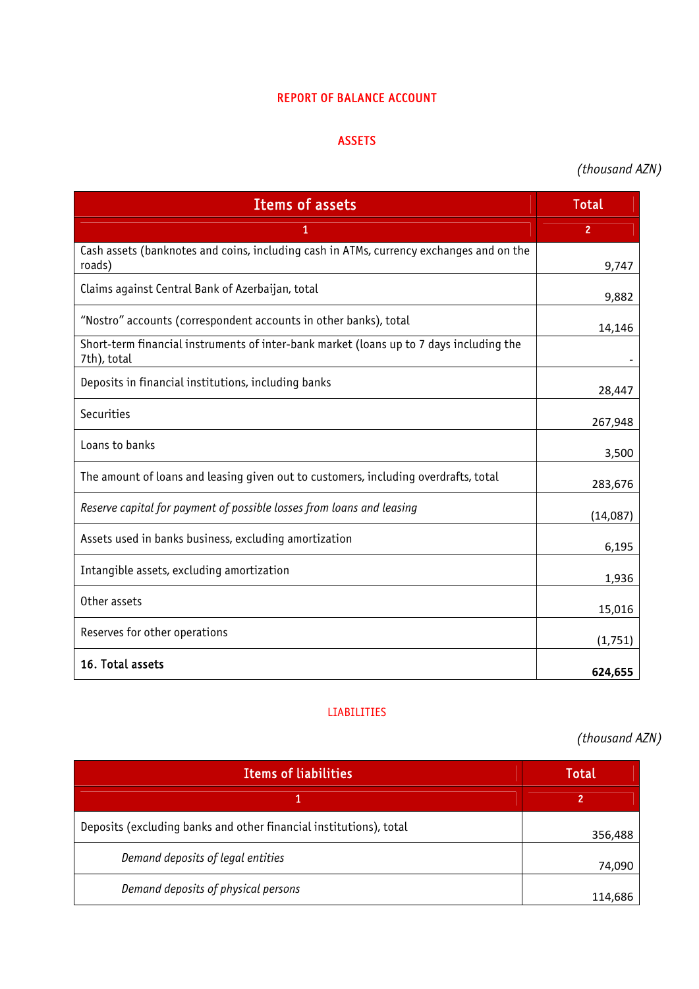#### REPORT OF BALANCE ACCOUNT

### ASSETS

# *(thousand AZN)*

| <b>Items of assets</b>                                                                                 | Total          |
|--------------------------------------------------------------------------------------------------------|----------------|
| 1                                                                                                      | $\overline{2}$ |
| Cash assets (banknotes and coins, including cash in ATMs, currency exchanges and on the<br>roads)      | 9,747          |
| Claims against Central Bank of Azerbaijan, total                                                       | 9,882          |
| "Nostro" accounts (correspondent accounts in other banks), total                                       | 14,146         |
| Short-term financial instruments of inter-bank market (loans up to 7 days including the<br>7th), total |                |
| Deposits in financial institutions, including banks                                                    | 28,447         |
| Securities                                                                                             | 267,948        |
| Loans to banks                                                                                         | 3,500          |
| The amount of loans and leasing given out to customers, including overdrafts, total                    | 283,676        |
| Reserve capital for payment of possible losses from loans and leasing                                  | (14,087)       |
| Assets used in banks business, excluding amortization                                                  | 6,195          |
| Intangible assets, excluding amortization                                                              | 1,936          |
| Other assets                                                                                           | 15,016         |
| Reserves for other operations                                                                          | (1,751)        |
| 16. Total assets                                                                                       | 624,655        |

#### LIABILITIES

# *(thousand AZN)*

| <b>Items of liabilities</b>                                        | <b>Total</b> |
|--------------------------------------------------------------------|--------------|
|                                                                    | 2            |
| Deposits (excluding banks and other financial institutions), total | 356,488      |
| Demand deposits of legal entities                                  | 74,090       |
| Demand deposits of physical persons                                | 114,686      |